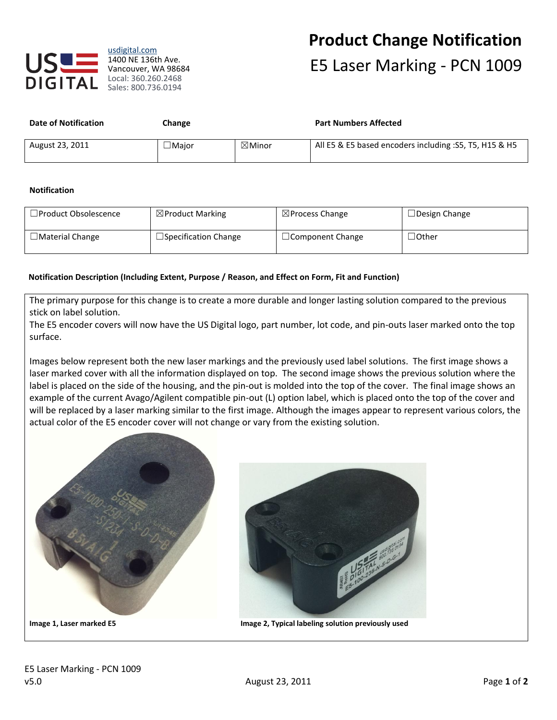

# **Product Change Notification** E5 Laser Marking - PCN 1009

| <b>Date of Notification</b> | <b>Change</b> |                   | <b>Part Numbers Affected</b>                            |
|-----------------------------|---------------|-------------------|---------------------------------------------------------|
| August 23, 2011             | $\Box$ Major  | $\boxtimes$ Minor | All E5 & E5 based encoders including : S5, T5, H15 & H5 |

## **Notification**

| $\Box$ Product Obsolescence | $\boxtimes$ Product Marking | $\boxtimes$ Process Change | $\Box$ Design Change |
|-----------------------------|-----------------------------|----------------------------|----------------------|
| $\square$ Material Change   | $\Box$ Specification Change | $\Box$ Component Change    | $\Box$ Other         |

### **Notification Description (Including Extent, Purpose / Reason, and Effect on Form, Fit and Function)**

The primary purpose for this change is to create a more durable and longer lasting solution compared to the previous stick on label solution.

The E5 encoder covers will now have the US Digital logo, part number, lot code, and pin-outs laser marked onto the top surface.

Images below represent both the new laser markings and the previously used label solutions. The first image shows a laser marked cover with all the information displayed on top. The second image shows the previous solution where the label is placed on the side of the housing, and the pin-out is molded into the top of the cover. The final image shows an example of the current Avago/Agilent compatible pin-out (L) option label, which is placed onto the top of the cover and will be replaced by a laser marking similar to the first image. Although the images appear to represent various colors, the actual color of the E5 encoder cover will not change or vary from the existing solution.